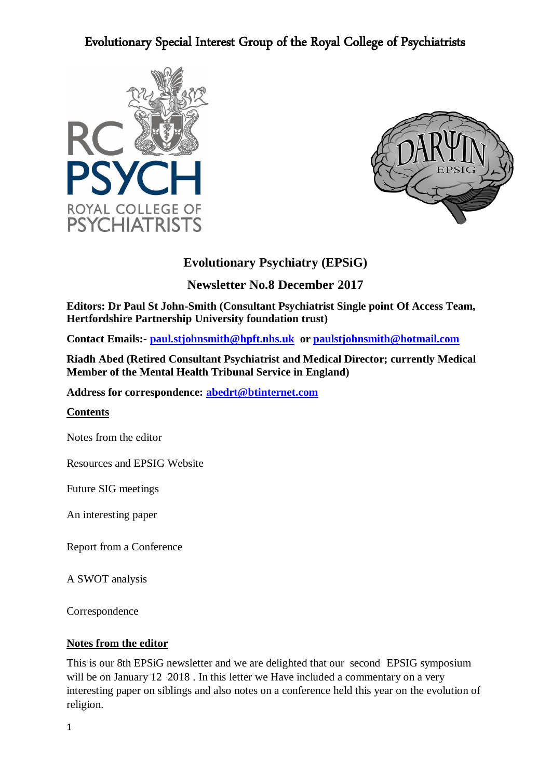



### **Evolutionary Psychiatry (EPSiG)**

### **Newsletter No.8 December 2017**

**Editors: Dr Paul St John-Smith (Consultant Psychiatrist Single point Of Access Team, Hertfordshire Partnership University foundation trust)** 

**Contact Emails:- [paul.stjohnsmith@hpft.nhs.uk](mailto:paul.stjohnsmith@hpft.nhs.uk) or [paulstjohnsmith@hotmail.com](mailto:paulstjohnsmith@hotmail.com)**

**Riadh Abed (Retired Consultant Psychiatrist and Medical Director; currently Medical Member of the Mental Health Tribunal Service in England)** 

**Address for correspondence: [abedrt@btinternet.com](mailto:abedrt@btinternet.com)**

### **Contents**

Notes from the editor

Resources and EPSIG Website

Future SIG meetings

An interesting paper

Report from a Conference

A SWOT analysis

Correspondence

### **Notes from the editor**

This is our 8th EPSiG newsletter and we are delighted that our second EPSIG symposium will be on January 12 2018. In this letter we Have included a commentary on a very interesting paper on siblings and also notes on a conference held this year on the evolution of religion.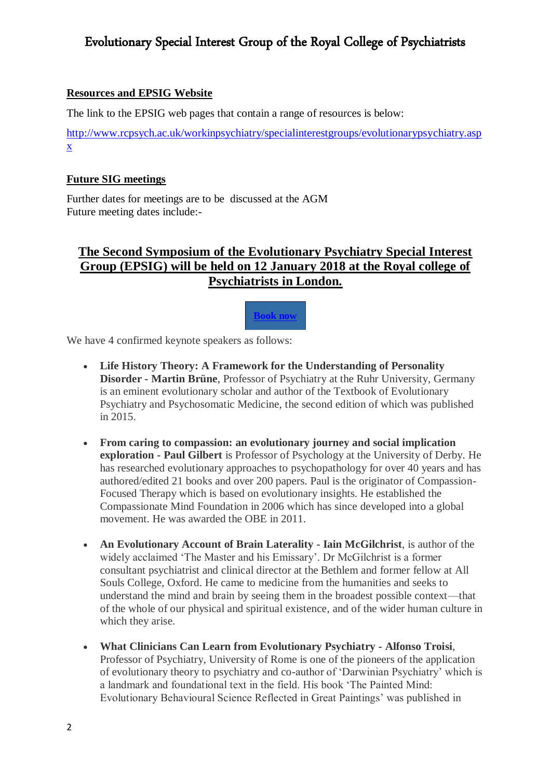### **Resources and EPSIG Website**

The link to the EPSIG web pages that contain a range of resources is below:

[http://www.rcpsych.ac.uk/workinpsychiatry/specialinterestgroups/evolutionarypsychiatry.asp](http://www.rcpsych.ac.uk/workinpsychiatry/specialinterestgroups/evolutionarypsychiatry.aspx) [x](http://www.rcpsych.ac.uk/workinpsychiatry/specialinterestgroups/evolutionarypsychiatry.aspx)

### **Future SIG meetings**

Further dates for meetings are to be discussed at the AGM Future meeting dates include:-

### **The Second Symposium of the Evolutionary Psychiatry Special Interest Group (EPSIG) will be held on 12 January 2018 at the Royal college of Psychiatrists in London.**



We have 4 confirmed keynote speakers as follows:

- **Life History Theory: A Framework for the Understanding of Personality Disorder - Martin Brüne**, Professor of Psychiatry at the Ruhr University, Germany is an eminent evolutionary scholar and author of the Textbook of Evolutionary Psychiatry and Psychosomatic Medicine, the second edition of which was published in 2015.
- **From caring to compassion: an evolutionary journey and social implication exploration - Paul Gilbert** is Professor of Psychology at the University of Derby. He has researched evolutionary approaches to psychopathology for over 40 years and has authored/edited 21 books and over 200 papers. Paul is the originator of Compassion-Focused Therapy which is based on evolutionary insights. He established the Compassionate Mind Foundation in 2006 which has since developed into a global movement. He was awarded the OBE in 2011.
- **An Evolutionary Account of Brain Laterality - Iain McGilchrist**, is author of the widely acclaimed 'The Master and his Emissary'. Dr McGilchrist is a former consultant psychiatrist and clinical director at the Bethlem and former fellow at All Souls College, Oxford. He came to medicine from the humanities and seeks to understand the mind and brain by seeing them in the broadest possible context—that of the whole of our physical and spiritual existence, and of the wider human culture in which they arise.
- **What Clinicians Can Learn from Evolutionary Psychiatry - Alfonso Troisi**, Professor of Psychiatry, University of Rome is one of the pioneers of the application of evolutionary theory to psychiatry and co-author of 'Darwinian Psychiatry' which is a landmark and foundational text in the field. His book 'The Painted Mind: Evolutionary Behavioural Science Reflected in Great Paintings' was published in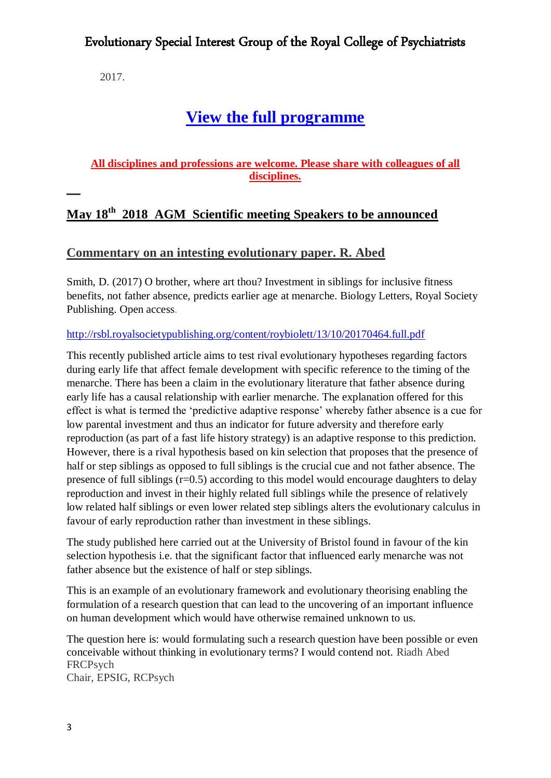2017.

# **[View the full programme](http://www.rcpsych.ac.uk/pdf/Second%20Symposium%20of%20the%20Evolutionary%20Psychiatry%20Special%20Interest%20Group%20Version%20w3.pdf)**

### **All disciplines and professions are welcome. Please share with colleagues of all disciplines.**

## **May 18th 2018 AGM Scientific meeting Speakers to be announced**

### **Commentary on an intesting evolutionary paper. R. Abed**

Smith, D. (2017) O brother, where art thou? Investment in siblings for inclusive fitness benefits, not father absence, predicts earlier age at menarche. Biology Letters, Royal Society Publishing. Open access.

### <http://rsbl.royalsocietypublishing.org/content/roybiolett/13/10/20170464.full.pdf>

This recently published article aims to test rival evolutionary hypotheses regarding factors during early life that affect female development with specific reference to the timing of the menarche. There has been a claim in the evolutionary literature that father absence during early life has a causal relationship with earlier menarche. The explanation offered for this effect is what is termed the 'predictive adaptive response' whereby father absence is a cue for low parental investment and thus an indicator for future adversity and therefore early reproduction (as part of a fast life history strategy) is an adaptive response to this prediction. However, there is a rival hypothesis based on kin selection that proposes that the presence of half or step siblings as opposed to full siblings is the crucial cue and not father absence. The presence of full siblings (r=0.5) according to this model would encourage daughters to delay reproduction and invest in their highly related full siblings while the presence of relatively low related half siblings or even lower related step siblings alters the evolutionary calculus in favour of early reproduction rather than investment in these siblings.

The study published here carried out at the University of Bristol found in favour of the kin selection hypothesis i.e. that the significant factor that influenced early menarche was not father absence but the existence of half or step siblings.

This is an example of an evolutionary framework and evolutionary theorising enabling the formulation of a research question that can lead to the uncovering of an important influence on human development which would have otherwise remained unknown to us.

The question here is: would formulating such a research question have been possible or even conceivable without thinking in evolutionary terms? I would contend not. Riadh Abed FRCPsych

Chair, EPSIG, RCPsych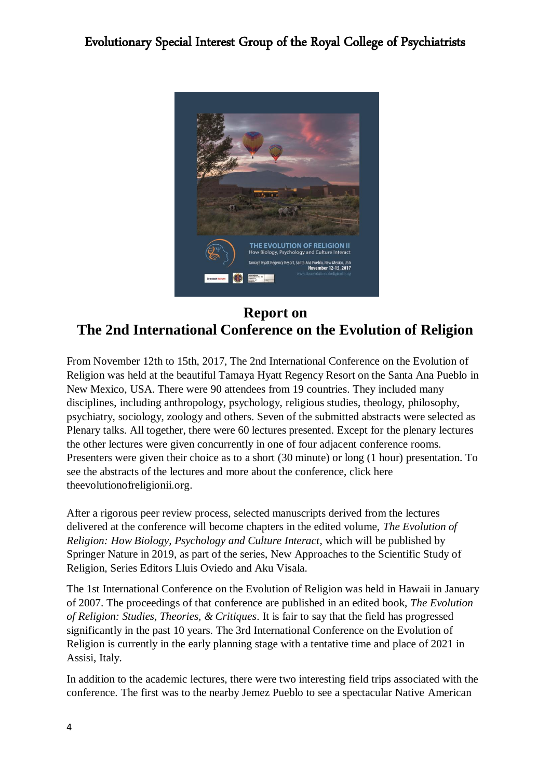

## **Report on The 2nd International Conference on the Evolution of Religion**

From November 12th to 15th, 2017, The 2nd International Conference on the Evolution of Religion was held at the beautiful Tamaya Hyatt Regency Resort on the Santa Ana Pueblo in New Mexico, USA. There were 90 attendees from 19 countries. They included many disciplines, including anthropology, psychology, religious studies, theology, philosophy, psychiatry, sociology, zoology and others. Seven of the submitted abstracts were selected as Plenary talks. All together, there were 60 lectures presented. Except for the plenary lectures the other lectures were given concurrently in one of four adjacent conference rooms. Presenters were given their choice as to a short (30 minute) or long (1 hour) presentation. To see the abstracts of the lectures and more about the conference, click here [theevolutionofreligionii.org.](http://theevolutionofreligionii.org/)

After a rigorous peer review process, selected manuscripts derived from the lectures delivered at the conference will become chapters in the edited volume, *The Evolution of Religion: How Biology, Psychology and Culture Interact*, which will be published by Springer Nature in 2019, as part of the series, New Approaches to the Scientific Study of Religion, Series Editors Lluis Oviedo and Aku Visala.

The 1st International Conference on the Evolution of Religion was held in Hawaii in January of 2007. The proceedings of that conference are published in an edited book, *[The Evolution](https://www.amazon.com/Evolution-Religion-Theories-Critiques-Humanity/dp/0978844114/ref=sr_1_fkmr0_1?s=books&ie=UTF8&qid=1511275651&sr=1-1-fkmr0&keywords=bulbulia+The+evolution+of+religion+collins+foundation+press)  [of Religion: Studies, Theories, & Critiques](https://www.amazon.com/Evolution-Religion-Theories-Critiques-Humanity/dp/0978844114/ref=sr_1_fkmr0_1?s=books&ie=UTF8&qid=1511275651&sr=1-1-fkmr0&keywords=bulbulia+The+evolution+of+religion+collins+foundation+press)*. It is fair to say that the field has progressed significantly in the past 10 years. The 3rd International Conference on the Evolution of Religion is currently in the early planning stage with a tentative time and place of 2021 in Assisi, Italy.

In addition to the academic lectures, there were two interesting field trips associated with the conference. The first was to the nearby Jemez Pueblo to see a spectacular Native American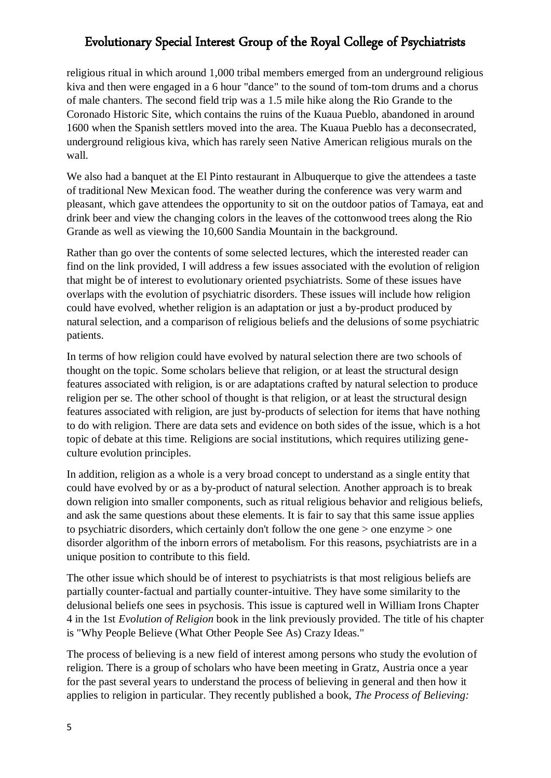religious ritual in which around 1,000 tribal members emerged from an underground religious kiva and then were engaged in a 6 hour "dance" to the sound of tom-tom drums and a chorus of male chanters. The second field trip was a 1.5 mile hike along the Rio Grande to the Coronado Historic Site, which contains the ruins of the Kuaua Pueblo, abandoned in around 1600 when the Spanish settlers moved into the area. The Kuaua Pueblo has a deconsecrated, underground religious kiva, which has rarely seen Native American religious murals on the wall.

We also had a banquet at the El Pinto restaurant in Albuquerque to give the attendees a taste of traditional New Mexican food. The weather during the conference was very warm and pleasant, which gave attendees the opportunity to sit on the outdoor patios of Tamaya, eat and drink beer and view the changing colors in the leaves of the cottonwood trees along the Rio Grande as well as viewing the 10,600 Sandia Mountain in the background.

Rather than go over the contents of some selected lectures, which the interested reader can find on the link provided, I will address a few issues associated with the evolution of religion that might be of interest to evolutionary oriented psychiatrists. Some of these issues have overlaps with the evolution of psychiatric disorders. These issues will include how religion could have evolved, whether religion is an adaptation or just a by-product produced by natural selection, and a comparison of religious beliefs and the delusions of some psychiatric patients.

In terms of how religion could have evolved by natural selection there are two schools of thought on the topic. Some scholars believe that religion, or at least the structural design features associated with religion, is or are adaptations crafted by natural selection to produce religion per se. The other school of thought is that religion, or at least the structural design features associated with religion, are just by-products of selection for items that have nothing to do with religion. There are data sets and evidence on both sides of the issue, which is a hot topic of debate at this time. Religions are social institutions, which requires utilizing geneculture evolution principles.

In addition, religion as a whole is a very broad concept to understand as a single entity that could have evolved by or as a by-product of natural selection. Another approach is to break down religion into smaller components, such as ritual religious behavior and religious beliefs, and ask the same questions about these elements. It is fair to say that this same issue applies to psychiatric disorders, which certainly don't follow the one gene > one enzyme > one disorder algorithm of the inborn errors of metabolism. For this reasons, psychiatrists are in a unique position to contribute to this field.

The other issue which should be of interest to psychiatrists is that most religious beliefs are partially counter-factual and partially counter-intuitive. They have some similarity to the delusional beliefs one sees in psychosis. This issue is captured well in William Irons Chapter 4 in the 1st *Evolution of Religion* book in the link previously provided. The title of his chapter is "Why People Believe (What Other People See As) Crazy Ideas."

The process of believing is a new field of interest among persons who study the evolution of religion. There is a group of scholars who have been meeting in Gratz, Austria once a year for the past several years to understand the process of believing in general and then how it applies to religion in particular. They recently published a book, *[The Process of Believing:](https://www.amazon.com/Processes-Believing-Acquisition-Maintenance-Creditions/dp/3319509225/ref=sr_1_1?s=books&ie=UTF8&qid=1511277523&sr=1-1&keywords=process+of+believing&dpID=51D1eYNZNGL&preST=_SY291_BO1,204,203,200_QL40_&dpSrc=srch)*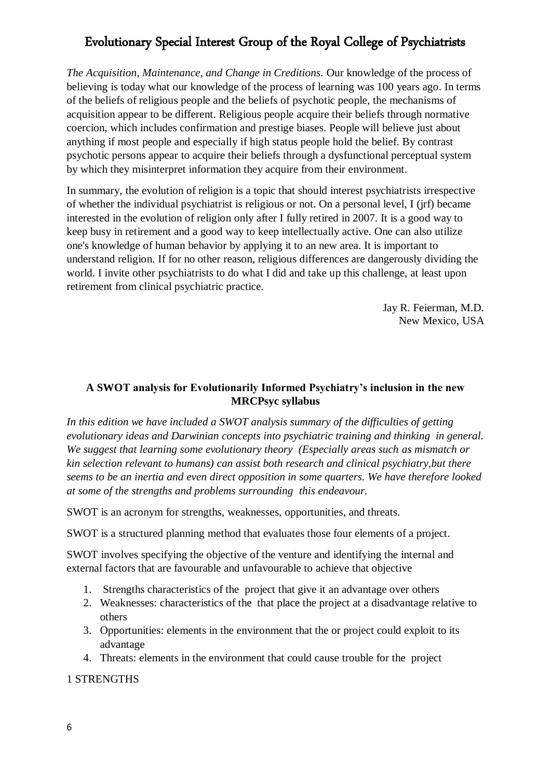*The Acquisition, Maintenance, and Change in Creditions.* Our knowledge of the process of believing is today what our knowledge of the process of learning was 100 years ago. In terms of the beliefs of religious people and the beliefs of psychotic people, the mechanisms of acquisition appear to be different. Religious people acquire their beliefs through normative coercion, which includes confirmation and prestige biases. People will believe just about anything if most people and especially if high status people hold the belief. By contrast psychotic persons appear to acquire their beliefs through a dysfunctional perceptual system by which they misinterpret information they acquire from their environment.

In summary, the evolution of religion is a topic that should interest psychiatrists irrespective of whether the individual psychiatrist is religious or not. On a personal level, I (jrf) became interested in the evolution of religion only after I fully retired in 2007. It is a good way to keep busy in retirement and a good way to keep intellectually active. One can also utilize one's knowledge of human behavior by applying it to an new area. It is important to understand religion. If for no other reason, religious differences are dangerously dividing the world. I invite other psychiatrists to do what I did and take up this challenge, at least upon retirement from clinical psychiatric practice.

> Jay R. Feierman, M.D. New Mexico, USA

### **A SWOT analysis for Evolutionarily Informed Psychiatry's inclusion in the new MRCPsyc syllabus**

*In this edition we have included a SWOT analysis summary of the difficulties of getting evolutionary ideas and Darwinian concepts into psychiatric training and thinking in general. We suggest that learning some evolutionary theory (Especially areas such as mismatch or kin selection relevant to humans) can assist both research and clinical psychiatry,but there seems to be an inertia and even direct opposition in some quarters. We have therefore looked at some of the strengths and problems surrounding this endeavour.* 

SWOT is an acronym for strengths, weaknesses, opportunities, and threats.

SWOT is a structured planning method that evaluates those four elements of a project.

SWOT involves specifying the objective of the venture and identifying the internal and external factors that are favourable and unfavourable to achieve that objective

- 1. Strengths characteristics of the project that give it an advantage over others
- 2. Weaknesses: characteristics of the that place the project at a disadvantage relative to others
- 3. Opportunities: elements in the environment that the or project could exploit to its advantage
- 4. Threats: elements in the environment that could cause trouble for the project

### 1 STRENGTHS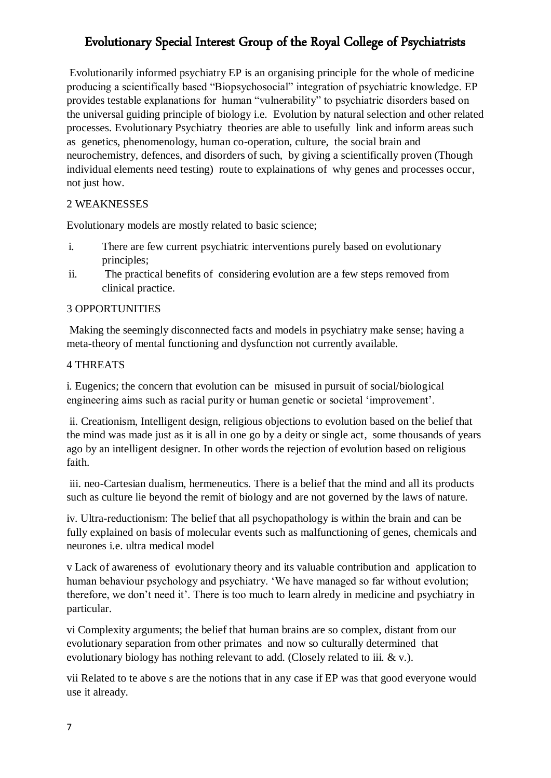Evolutionarily informed psychiatry EP is an organising principle for the whole of medicine producing a scientifically based "Biopsychosocial" integration of psychiatric knowledge. EP provides testable explanations for human "vulnerability" to psychiatric disorders based on the universal guiding principle of biology i.e. Evolution by natural selection and other related processes. Evolutionary Psychiatry theories are able to usefully link and inform areas such as genetics, phenomenology, human co-operation, culture, the social brain and neurochemistry, defences, and disorders of such, by giving a scientifically proven (Though individual elements need testing) route to explainations of why genes and processes occur, not just how.

### 2 WEAKNESSES

Evolutionary models are mostly related to basic science;

- i. There are few current psychiatric interventions purely based on evolutionary principles;
- ii. The practical benefits of considering evolution are a few steps removed from clinical practice.

### 3 OPPORTUNITIES

Making the seemingly disconnected facts and models in psychiatry make sense; having a meta-theory of mental functioning and dysfunction not currently available.

### 4 THREATS

i. Eugenics; the concern that evolution can be misused in pursuit of social/biological engineering aims such as racial purity or human genetic or societal 'improvement'.

ii. Creationism, Intelligent design, religious objections to evolution based on the belief that the mind was made just as it is all in one go by a deity or single act, some thousands of years ago by an intelligent designer. In other words the rejection of evolution based on religious faith.

iii. neo-Cartesian dualism, hermeneutics. There is a belief that the mind and all its products such as culture lie beyond the remit of biology and are not governed by the laws of nature.

iv. Ultra-reductionism: The belief that all psychopathology is within the brain and can be fully explained on basis of molecular events such as malfunctioning of genes, chemicals and neurones i.e. ultra medical model

v Lack of awareness of evolutionary theory and its valuable contribution and application to human behaviour psychology and psychiatry. 'We have managed so far without evolution; therefore, we don't need it'. There is too much to learn alredy in medicine and psychiatry in particular.

vi Complexity arguments; the belief that human brains are so complex, distant from our evolutionary separation from other primates and now so culturally determined that evolutionary biology has nothing relevant to add. (Closely related to iii. & v.).

vii Related to te above s are the notions that in any case if EP was that good everyone would use it already.